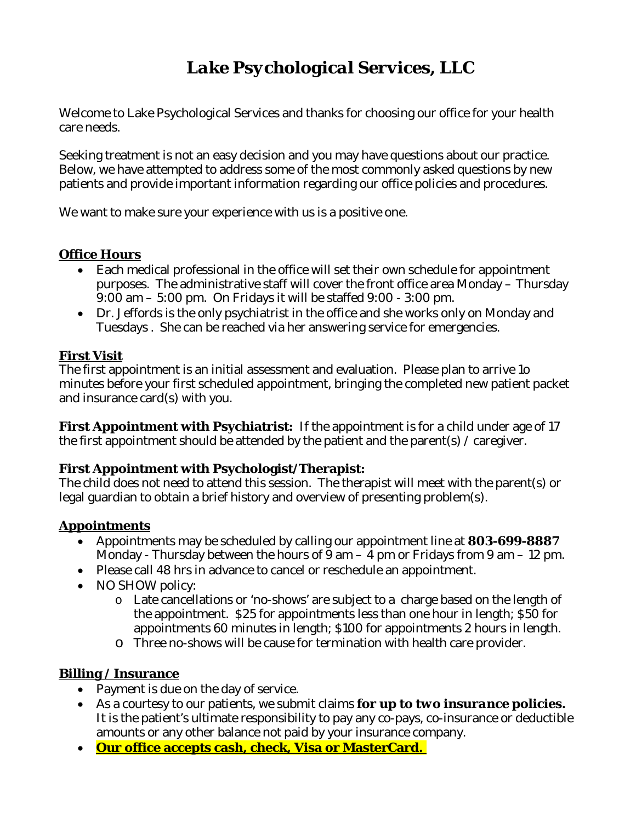# *Lake Psychological Services, LLC*

Welcome to Lake Psychological Services and thanks for choosing our office for your health care needs.

Seeking treatment is not an easy decision and you may have questions about our practice. Below, we have attempted to address some of the most commonly asked questions by new patients and provide important information regarding our office policies and procedures.

We want to make sure your experience with us is a positive one.

### **Office Hours**

- ∑ Each medical professional in the office will set their own schedule for appointment purposes. The administrative staff will cover the front office area Monday – Thursday 9:00 am – 5:00 pm. On Fridays it will be staffed 9:00 - 3:00 pm.
- Dr. Jeffords is the only psychiatrist in the office and she works only on Monday and Tuesdays . She can be reached via her answering service for emergencies.

### **First Visit**

The first appointment is an initial assessment and evaluation. Please plan to arrive 1o minutes before your first scheduled appointment, bringing the completed new patient packet and insurance card(s) with you.

**First Appointment with Psychiatrist:** If the appointment is for a child under age of 17 the first appointment should be attended by the patient and the parent(s) / caregiver.

### **First Appointment with Psychologist/Therapist:**

The child does not need to attend this session. The therapist will meet with the parent(s) or legal guardian to obtain a brief history and overview of presenting problem(s).

### **Appointments**

- ∑ Appointments may be scheduled by calling our appointment line at **803-699-8887** Monday - Thursday between the hours of  $9 \text{ am} - 4 \text{ pm}$  or Fridays from  $9 \text{ am} - 12 \text{ pm}$ .
- Please call 48 hrs in advance to cancel or reschedule an appointment.
- ∑ NO SHOW policy:
	- o Late cancellations or 'no-shows' are subject to a charge based on the length of the appointment. \$25 for appointments less than one hour in length; \$50 for appointments 60 minutes in length; \$100 for appointments 2 hours in length.
	- o Three no-shows will be cause for termination with health care provider.

### **Billing / Insurance**

- Payment is due on the day of service.
- ∑ As a courtesy to our patients, we submit claims *for up to two insurance policies.* It is the patient's ultimate responsibility to pay any co-pays, co-insurance or deductible amounts or any other balance not paid by your insurance company.
- ∑ **Our office accepts cash, check, Visa or MasterCard.**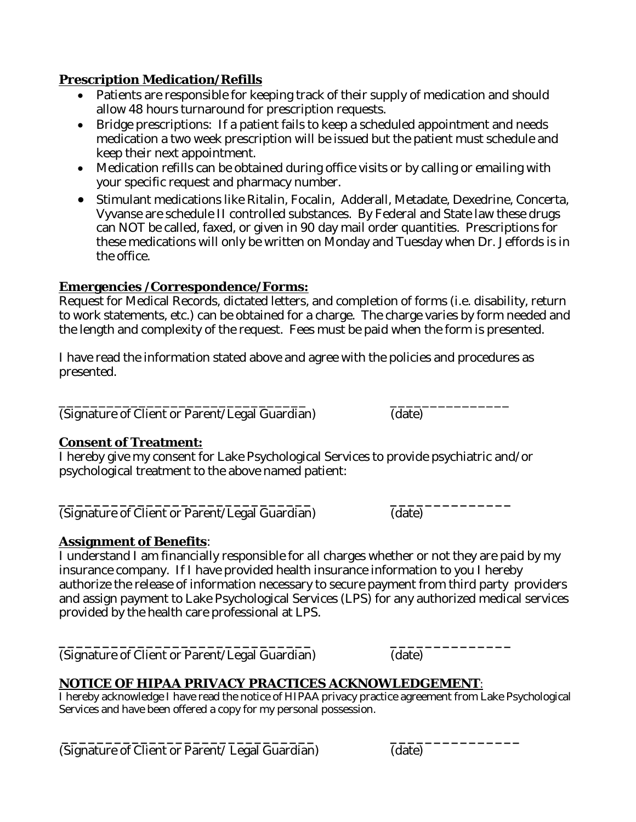**Prescription Medication/Refills**

- Patients are responsible for keeping track of their supply of medication and should allow 48 hours turnaround for prescription requests.
- ∑ Bridge prescriptions: If a patient fails to keep a scheduled appointment and needs medication a two week prescription will be issued but the patient must schedule and keep their next appointment.
- Medication refills can be obtained during office visits or by calling or emailing with your specific request and pharmacy number.
- Stimulant medications like Ritalin, Focalin, Adderall, Metadate, Dexedrine, Concerta, Vyvanse are schedule II controlled substances. By Federal and State law these drugs can NOT be called, faxed, or given in 90 day mail order quantities. Prescriptions for these medications will only be written on Monday and Tuesday when Dr. Jeffords is in the office.

## **Emergencies /Correspondence/Forms:**

Request for Medical Records, dictated letters, and completion of forms (i.e. disability, return to work statements, etc.) can be obtained for a charge. The charge varies by form needed and the length and complexity of the request. Fees must be paid when the form is presented.

I have read the information stated above and agree with the policies and procedures as presented.

\_\_\_\_\_\_\_\_\_\_\_\_\_\_\_\_\_\_\_\_\_\_\_\_\_\_\_\_\_\_\_ \_\_\_\_\_\_\_\_\_\_\_\_\_\_\_ (Signature of Client or Parent/Legal Guardian) (date)

**Consent of Treatment:**

I hereby give my consent for Lake Psychological Services to provide psychiatric and/or psychological treatment to the above named patient:

**\_\_\_\_\_\_\_\_\_\_\_\_\_\_\_\_\_\_\_\_\_\_\_\_\_\_\_\_\_ \_\_\_\_\_\_\_\_\_\_\_\_\_\_** (Signature of Client or Parent/Legal Guardian) (date)

**Assignment of Benefits**:

I understand I am financially responsible for all charges whether or not they are paid by my insurance company. If I have provided health insurance information to you I hereby authorize the release of information necessary to secure payment from third party providers and assign payment to Lake Psychological Services (LPS) for any authorized medical services provided by the health care professional at LPS.

**\_\_\_\_\_\_\_\_\_\_\_\_\_\_\_\_\_\_\_\_\_\_\_\_\_\_\_\_\_ \_\_\_\_\_\_\_\_\_\_\_\_\_\_** (Signature of Client or Parent/Legal Guardian) (date)

**NOTICE OF HIPAA PRIVACY PRACTICES ACKNOWLEDGEMENT**:

I hereby acknowledge I have read the notice of HIPAA privacy practice agreement from Lake Psychological Services and have been offered a copy for my personal possession.

**\_\_\_\_\_\_\_\_\_\_\_\_\_\_\_\_\_\_\_\_\_\_\_\_\_\_\_\_\_ \_\_\_\_\_\_\_\_\_\_\_\_\_\_\_** (Signature of Client or Parent/ Legal Guardian) (date)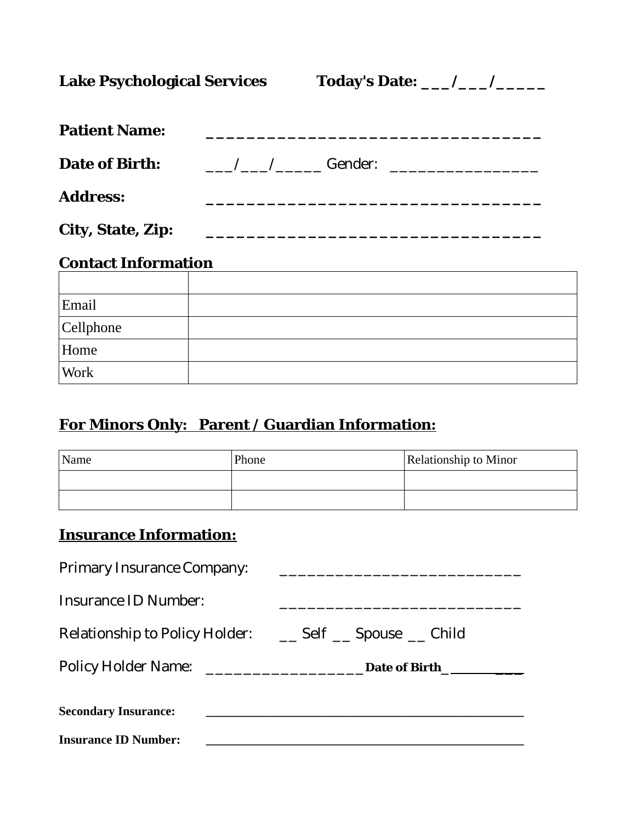Lake Psychological Services Today's Date: \_\_\_/\_\_\_/\_\_\_\_\_

| <b>Patient Name:</b>       |                                            |
|----------------------------|--------------------------------------------|
| Date of Birth:             | and the Cender: the Company of the Cender: |
| Address:                   |                                            |
| City, State, Zip:          |                                            |
| <b>Contact Information</b> |                                            |
|                            |                                            |
| Email                      |                                            |
| Cellphone                  |                                            |
| Home                       |                                            |
| Work                       |                                            |

# **For Minors Only: Parent / Guardian Information:**

| Name | Relationship to Minor<br>Phone |  |
|------|--------------------------------|--|
|      |                                |  |
|      |                                |  |

# **Insurance Information:**

| <b>Primary Insurance Company:</b> |                                                                                                                                         |
|-----------------------------------|-----------------------------------------------------------------------------------------------------------------------------------------|
| Insurance ID Number:              |                                                                                                                                         |
| Relationship to Policy Holder:    | __ Self __ Spouse __ Child                                                                                                              |
| <b>Policy Holder Name:</b>        | Date of Birth<br><u> 1980 - Jan Stein Harry Harry Harry Harry Harry Harry Harry Harry Harry Harry Harry Harry Harry Harry Harry Har</u> |
| <b>Secondary Insurance:</b>       |                                                                                                                                         |

**Insurance ID Number: \_\_\_\_\_\_\_\_\_\_\_\_\_\_\_\_\_\_\_\_\_\_\_\_\_\_\_\_\_\_\_\_\_\_\_\_\_\_\_\_\_\_\_\_\_\_\_\_\_\_\_**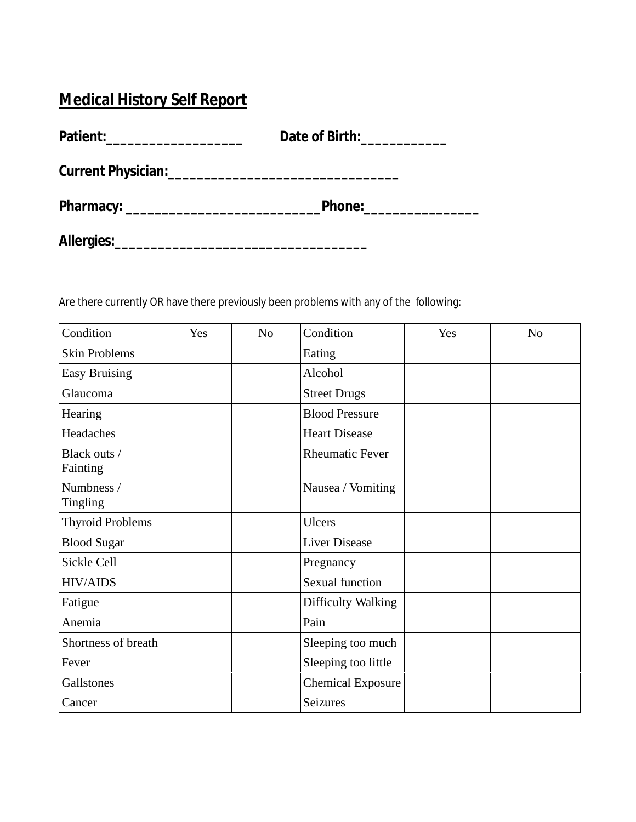# **Medical History Self Report**

| Patient:_______________________ | Date of Birth:                                                                                                                                                                                                                 |
|---------------------------------|--------------------------------------------------------------------------------------------------------------------------------------------------------------------------------------------------------------------------------|
|                                 |                                                                                                                                                                                                                                |
|                                 | Phone: the contract of the contract of the contract of the contract of the contract of the contract of the contract of the contract of the contract of the contract of the contract of the contract of the contract of the con |
|                                 |                                                                                                                                                                                                                                |

Are there currently OR have there previously been problems with any of the following:

| Condition                | Yes | N <sub>0</sub> | Condition                | Yes | N <sub>0</sub> |
|--------------------------|-----|----------------|--------------------------|-----|----------------|
| <b>Skin Problems</b>     |     |                | Eating                   |     |                |
| <b>Easy Bruising</b>     |     |                | Alcohol                  |     |                |
| Glaucoma                 |     |                | <b>Street Drugs</b>      |     |                |
| Hearing                  |     |                | <b>Blood Pressure</b>    |     |                |
| Headaches                |     |                | <b>Heart Disease</b>     |     |                |
| Black outs /<br>Fainting |     |                | <b>Rheumatic Fever</b>   |     |                |
| Numbness /<br>Tingling   |     |                | Nausea / Vomiting        |     |                |
| <b>Thyroid Problems</b>  |     |                | <b>Ulcers</b>            |     |                |
| <b>Blood Sugar</b>       |     |                | <b>Liver Disease</b>     |     |                |
| Sickle Cell              |     |                | Pregnancy                |     |                |
| <b>HIV/AIDS</b>          |     |                | <b>Sexual function</b>   |     |                |
| Fatigue                  |     |                | Difficulty Walking       |     |                |
| Anemia                   |     |                | Pain                     |     |                |
| Shortness of breath      |     |                | Sleeping too much        |     |                |
| Fever                    |     |                | Sleeping too little      |     |                |
| Gallstones               |     |                | <b>Chemical Exposure</b> |     |                |
| Cancer                   |     |                | Seizures                 |     |                |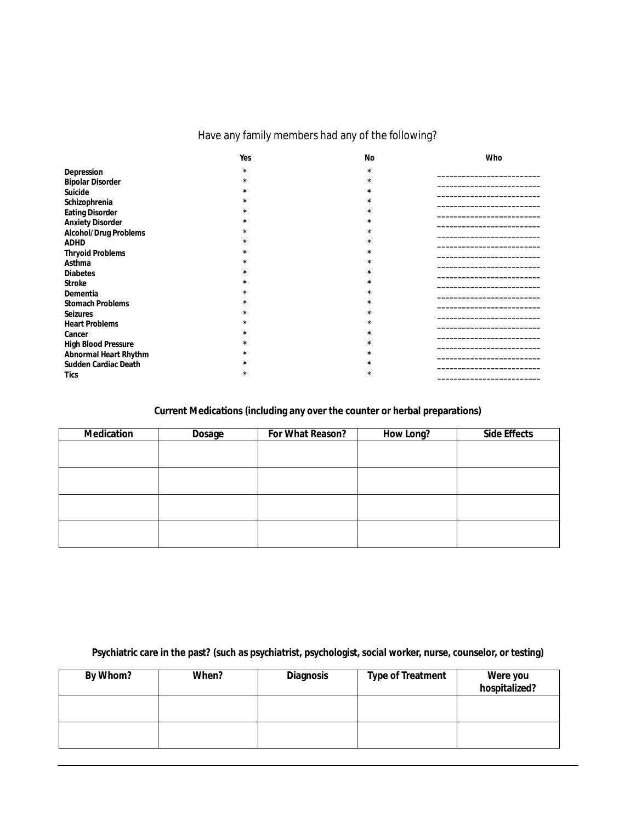## Have any family members had any of the following?

|                         | Yes      | No      | Who |
|-------------------------|----------|---------|-----|
| Depression              | $\star$  | $\star$ |     |
| <b>Bipolar Disorder</b> | $\star$  | $\star$ |     |
| Suicide                 | $\star$  |         |     |
| Schizophrenia           | $\star$  |         |     |
| Eating Disorder         | $\star$  |         |     |
| <b>Anxiety Disorder</b> | $\star$  |         |     |
| Alcohol/Drug Problems   | $\star$  |         |     |
| ADHD                    | $\star$  |         |     |
| <b>Thryoid Problems</b> | $\star$  |         |     |
| Asthma                  | $\star$  |         |     |
| <b>Diabetes</b>         | $\star$  |         |     |
| Stroke                  | $\star$  |         |     |
| Dementia                | $^\star$ |         |     |
| <b>Stomach Problems</b> | $^\star$ |         |     |
| Seizures                | $\star$  |         |     |
| <b>Heart Problems</b>   | $\star$  |         |     |
| Cancer                  | ÷        |         |     |
| High Blood Pressure     | $\star$  |         |     |
| Abnormal Heart Rhythm   | $^\star$ |         |     |
| Sudden Cardiac Death    |          |         |     |
| Tics                    | $\star$  | $\star$ |     |

#### **Current Medications (including any over the counter or herbal preparations)**

| Medication | Dosage | For What Reason? | How Long? | Side Effects |
|------------|--------|------------------|-----------|--------------|
|            |        |                  |           |              |
|            |        |                  |           |              |
|            |        |                  |           |              |
|            |        |                  |           |              |
|            |        |                  |           |              |
|            |        |                  |           |              |
|            |        |                  |           |              |
|            |        |                  |           |              |

**Psychiatric care in the past? (such as psychiatrist, psychologist, social worker, nurse, counselor, or testing)**

| By Whom? | When? | Diagnosis | Type of Treatment | Were you<br>hospitalized? |
|----------|-------|-----------|-------------------|---------------------------|
|          |       |           |                   |                           |
|          |       |           |                   |                           |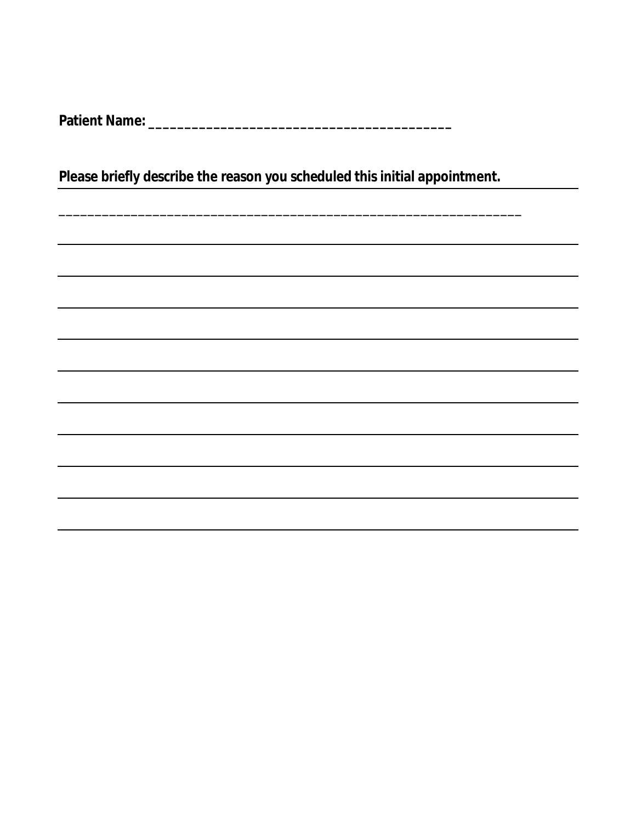**Patient Name: \_\_\_\_\_\_\_\_\_\_\_\_\_\_\_\_\_\_\_\_\_\_\_\_\_\_\_\_\_\_\_\_\_\_\_\_\_\_\_\_\_\_**

**Please briefly describe the reason you scheduled this initial appointment.** 

\_\_\_\_\_\_\_\_\_\_\_\_\_\_\_\_\_\_\_\_\_\_\_\_\_\_\_\_\_\_\_\_\_\_\_\_\_\_\_\_\_\_\_\_\_\_\_\_\_\_\_\_\_\_\_\_\_\_\_\_\_\_\_\_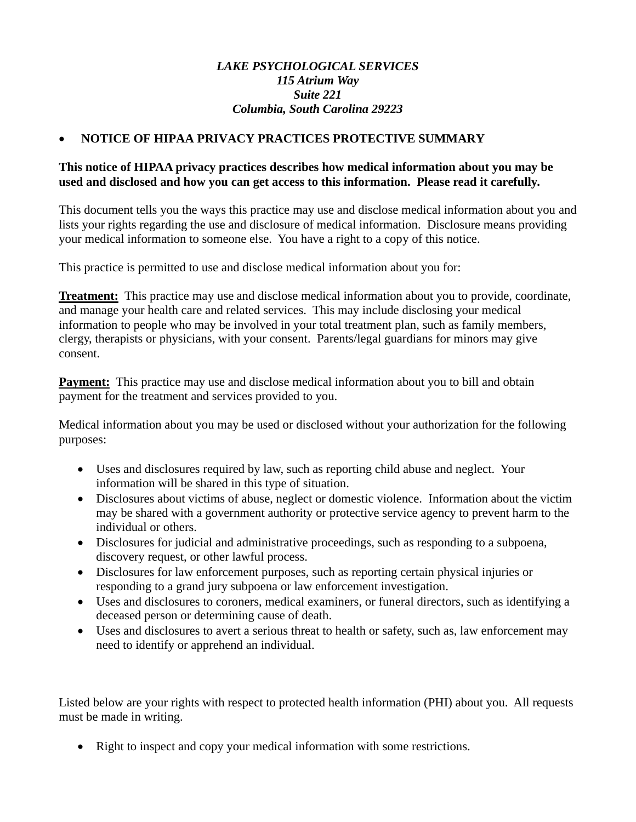### *LAKE PSYCHOLOGICAL SERVICES 115 Atrium Way Suite 221 Columbia, South Carolina 29223*

### ∑ **NOTICE OF HIPAA PRIVACY PRACTICES PROTECTIVE SUMMARY**

### **This notice of HIPAA privacy practices describes how medical information about you may be used and disclosed and how you can get access to this information. Please read it carefully.**

This document tells you the ways this practice may use and disclose medical information about you and lists your rights regarding the use and disclosure of medical information. Disclosure means providing your medical information to someone else. You have a right to a copy of this notice.

This practice is permitted to use and disclose medical information about you for:

**Treatment:** This practice may use and disclose medical information about you to provide, coordinate, and manage your health care and related services. This may include disclosing your medical information to people who may be involved in your total treatment plan, such as family members, clergy, therapists or physicians, with your consent. Parents/legal guardians for minors may give consent.

**Payment:** This practice may use and disclose medical information about you to bill and obtain payment for the treatment and services provided to you.

Medical information about you may be used or disclosed without your authorization for the following purposes:

- Uses and disclosures required by law, such as reporting child abuse and neglect. Your information will be shared in this type of situation.
- Disclosures about victims of abuse, neglect or domestic violence. Information about the victim may be shared with a government authority or protective service agency to prevent harm to the individual or others.
- Disclosures for judicial and administrative proceedings, such as responding to a subpoena, discovery request, or other lawful process.
- Disclosures for law enforcement purposes, such as reporting certain physical injuries or responding to a grand jury subpoena or law enforcement investigation.
- Uses and disclosures to coroners, medical examiners, or funeral directors, such as identifying a deceased person or determining cause of death.
- Uses and disclosures to avert a serious threat to health or safety, such as, law enforcement may need to identify or apprehend an individual.

Listed below are your rights with respect to protected health information (PHI) about you. All requests must be made in writing.

• Right to inspect and copy your medical information with some restrictions.